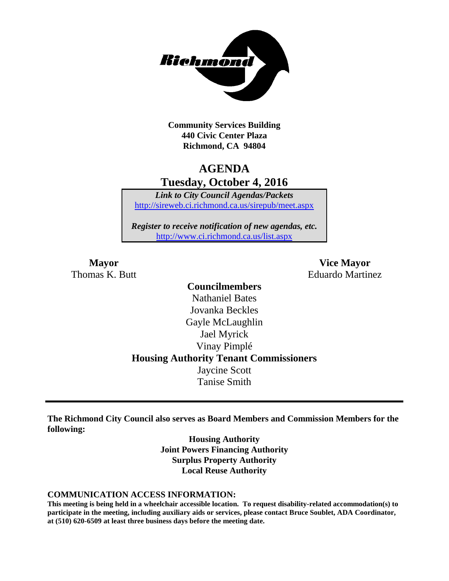

**Community Services Building 440 Civic Center Plaza Richmond, CA 94804**

# **AGENDA Tuesday, October 4, 2016**

*Link to City Council Agendas/Packets* <http://sireweb.ci.richmond.ca.us/sirepub/meet.aspx>

*Register to receive notification of new agendas, etc.* <http://www.ci.richmond.ca.us/list.aspx>

**Mayor Vice Mayor** Thomas K. Butt **Eduardo Martinez** 

### **Councilmembers** Nathaniel Bates Jovanka Beckles Gayle McLaughlin Jael Myrick Vinay Pimplé **Housing Authority Tenant Commissioners** Jaycine Scott Tanise Smith

**The Richmond City Council also serves as Board Members and Commission Members for the following:**

> **Housing Authority Joint Powers Financing Authority Surplus Property Authority Local Reuse Authority**

#### **COMMUNICATION ACCESS INFORMATION:**

**This meeting is being held in a wheelchair accessible location. To request disability-related accommodation(s) to participate in the meeting, including auxiliary aids or services, please contact Bruce Soublet, ADA Coordinator, at (510) 620-6509 at least three business days before the meeting date.**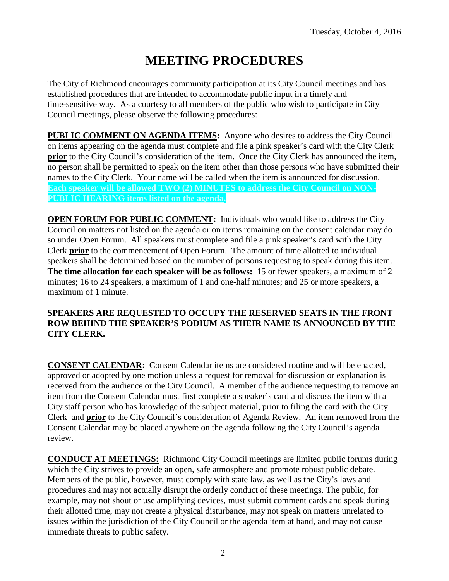# **MEETING PROCEDURES**

The City of Richmond encourages community participation at its City Council meetings and has established procedures that are intended to accommodate public input in a timely and time-sensitive way. As a courtesy to all members of the public who wish to participate in City Council meetings, please observe the following procedures:

**PUBLIC COMMENT ON AGENDA ITEMS:** Anyone who desires to address the City Council on items appearing on the agenda must complete and file a pink speaker's card with the City Clerk **prior** to the City Council's consideration of the item. Once the City Clerk has announced the item, no person shall be permitted to speak on the item other than those persons who have submitted their names to the City Clerk. Your name will be called when the item is announced for discussion. **Each speaker will be allowed TWO (2) MINUTES to address the City Council on NON-PUBLIC HEARING items listed on the agenda.**

**OPEN FORUM FOR PUBLIC COMMENT:** Individuals who would like to address the City Council on matters not listed on the agenda or on items remaining on the consent calendar may do so under Open Forum. All speakers must complete and file a pink speaker's card with the City Clerk **prior** to the commencement of Open Forum. The amount of time allotted to individual speakers shall be determined based on the number of persons requesting to speak during this item. **The time allocation for each speaker will be as follows:** 15 or fewer speakers, a maximum of 2 minutes; 16 to 24 speakers, a maximum of 1 and one-half minutes; and 25 or more speakers, a maximum of 1 minute.

### **SPEAKERS ARE REQUESTED TO OCCUPY THE RESERVED SEATS IN THE FRONT ROW BEHIND THE SPEAKER'S PODIUM AS THEIR NAME IS ANNOUNCED BY THE CITY CLERK.**

**CONSENT CALENDAR:** Consent Calendar items are considered routine and will be enacted, approved or adopted by one motion unless a request for removal for discussion or explanation is received from the audience or the City Council. A member of the audience requesting to remove an item from the Consent Calendar must first complete a speaker's card and discuss the item with a City staff person who has knowledge of the subject material, prior to filing the card with the City Clerk and **prior** to the City Council's consideration of Agenda Review. An item removed from the Consent Calendar may be placed anywhere on the agenda following the City Council's agenda review.

**CONDUCT AT MEETINGS:** Richmond City Council meetings are limited public forums during which the City strives to provide an open, safe atmosphere and promote robust public debate. Members of the public, however, must comply with state law, as well as the City's laws and procedures and may not actually disrupt the orderly conduct of these meetings. The public, for example, may not shout or use amplifying devices, must submit comment cards and speak during their allotted time, may not create a physical disturbance, may not speak on matters unrelated to issues within the jurisdiction of the City Council or the agenda item at hand, and may not cause immediate threats to public safety.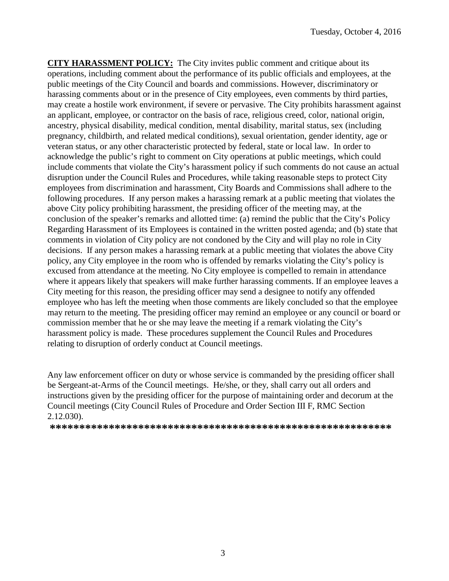**CITY HARASSMENT POLICY:** The City invites public comment and critique about its operations, including comment about the performance of its public officials and employees, at the public meetings of the City Council and boards and commissions. However, discriminatory or harassing comments about or in the presence of City employees, even comments by third parties, may create a hostile work environment, if severe or pervasive. The City prohibits harassment against an applicant, employee, or contractor on the basis of race, religious creed, color, national origin, ancestry, physical disability, medical condition, mental disability, marital status, sex (including pregnancy, childbirth, and related medical conditions), sexual orientation, gender identity, age or veteran status, or any other characteristic protected by federal, state or local law. In order to acknowledge the public's right to comment on City operations at public meetings, which could include comments that violate the City's harassment policy if such comments do not cause an actual disruption under the Council Rules and Procedures, while taking reasonable steps to protect City employees from discrimination and harassment, City Boards and Commissions shall adhere to the following procedures. If any person makes a harassing remark at a public meeting that violates the above City policy prohibiting harassment, the presiding officer of the meeting may, at the conclusion of the speaker's remarks and allotted time: (a) remind the public that the City's Policy Regarding Harassment of its Employees is contained in the written posted agenda; and (b) state that comments in violation of City policy are not condoned by the City and will play no role in City decisions. If any person makes a harassing remark at a public meeting that violates the above City policy, any City employee in the room who is offended by remarks violating the City's policy is excused from attendance at the meeting. No City employee is compelled to remain in attendance where it appears likely that speakers will make further harassing comments. If an employee leaves a City meeting for this reason, the presiding officer may send a designee to notify any offended employee who has left the meeting when those comments are likely concluded so that the employee may return to the meeting. The presiding officer may remind an employee or any council or board or commission member that he or she may leave the meeting if a remark violating the City's harassment policy is made. These procedures supplement the Council Rules and Procedures relating to disruption of orderly conduct at Council meetings.

Any law enforcement officer on duty or whose service is commanded by the presiding officer shall be Sergeant-at-Arms of the Council meetings. He/she, or they, shall carry out all orders and instructions given by the presiding officer for the purpose of maintaining order and decorum at the Council meetings (City Council Rules of Procedure and Order Section III F, RMC Section 2.12.030).

**\*\*\*\*\*\*\*\*\*\*\*\*\*\*\*\*\*\*\*\*\*\*\*\*\*\*\*\*\*\*\*\*\*\*\*\*\*\*\*\*\*\*\*\*\*\*\*\*\*\*\*\*\*\*\*\*\*\***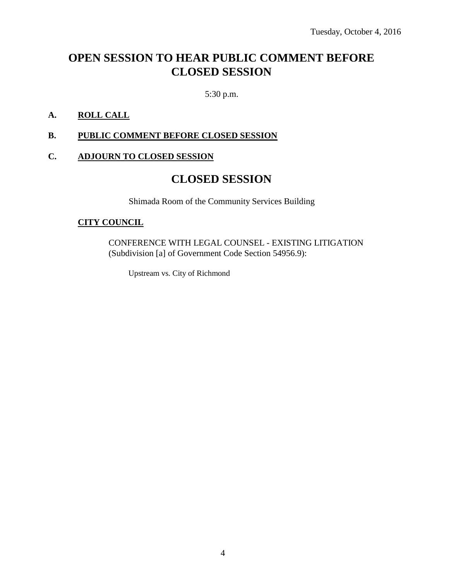# **OPEN SESSION TO HEAR PUBLIC COMMENT BEFORE CLOSED SESSION**

5:30 p.m.

### **A. ROLL CALL**

### **B. PUBLIC COMMENT BEFORE CLOSED SESSION**

### **C. ADJOURN TO CLOSED SESSION**

### **CLOSED SESSION**

Shimada Room of the Community Services Building

#### **CITY COUNCIL**

CONFERENCE WITH LEGAL COUNSEL - EXISTING LITIGATION (Subdivision [a] of Government Code Section 54956.9):

Upstream vs. City of Richmond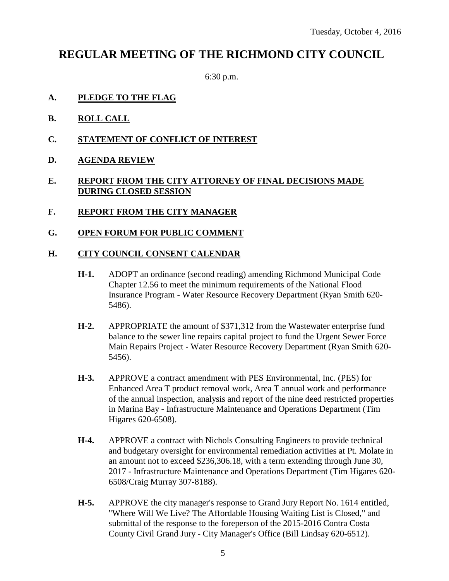## **REGULAR MEETING OF THE RICHMOND CITY COUNCIL**

6:30 p.m.

- **A. PLEDGE TO THE FLAG**
- **B. ROLL CALL**
- **C. STATEMENT OF CONFLICT OF INTEREST**
- **D. AGENDA REVIEW**

### **E. REPORT FROM THE CITY ATTORNEY OF FINAL DECISIONS MADE DURING CLOSED SESSION**

- **F. REPORT FROM THE CITY MANAGER**
- **G. OPEN FORUM FOR PUBLIC COMMENT**

#### **H. CITY COUNCIL CONSENT CALENDAR**

- **H-1.** ADOPT an ordinance (second reading) amending Richmond Municipal Code Chapter 12.56 to meet the minimum requirements of the National Flood Insurance Program - Water Resource Recovery Department (Ryan Smith 620- 5486).
- **H-2.** APPROPRIATE the amount of \$371,312 from the Wastewater enterprise fund balance to the sewer line repairs capital project to fund the Urgent Sewer Force Main Repairs Project - Water Resource Recovery Department (Ryan Smith 620- 5456).
- **H-3.** APPROVE a contract amendment with PES Environmental, Inc. (PES) for Enhanced Area T product removal work, Area T annual work and performance of the annual inspection, analysis and report of the nine deed restricted properties in Marina Bay - Infrastructure Maintenance and Operations Department (Tim Higares 620-6508).
- **H-4.** APPROVE a contract with Nichols Consulting Engineers to provide technical and budgetary oversight for environmental remediation activities at Pt. Molate in an amount not to exceed \$236,306.18, with a term extending through June 30, 2017 - Infrastructure Maintenance and Operations Department (Tim Higares 620- 6508/Craig Murray 307-8188).
- **H-5.** APPROVE the city manager's response to Grand Jury Report No. 1614 entitled, "Where Will We Live? The Affordable Housing Waiting List is Closed," and submittal of the response to the foreperson of the 2015-2016 Contra Costa County Civil Grand Jury - City Manager's Office (Bill Lindsay 620-6512).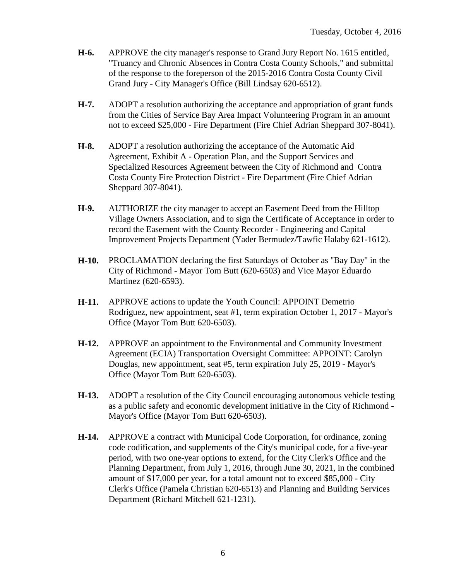- **H-6.** APPROVE the city manager's response to Grand Jury Report No. 1615 entitled, "Truancy and Chronic Absences in Contra Costa County Schools," and submittal of the response to the foreperson of the 2015-2016 Contra Costa County Civil Grand Jury - City Manager's Office (Bill Lindsay 620-6512).
- **H-7.** ADOPT a resolution authorizing the acceptance and appropriation of grant funds from the Cities of Service Bay Area Impact Volunteering Program in an amount not to exceed \$25,000 - Fire Department (Fire Chief Adrian Sheppard 307-8041).
- **H-8.** ADOPT a resolution authorizing the acceptance of the Automatic Aid Agreement, Exhibit A - Operation Plan, and the Support Services and Specialized Resources Agreement between the City of Richmond and Contra Costa County Fire Protection District - Fire Department (Fire Chief Adrian Sheppard 307-8041).
- **H-9.** AUTHORIZE the city manager to accept an Easement Deed from the Hilltop Village Owners Association, and to sign the Certificate of Acceptance in order to record the Easement with the County Recorder - Engineering and Capital Improvement Projects Department (Yader Bermudez/Tawfic Halaby 621-1612).
- **H-10.** PROCLAMATION declaring the first Saturdays of October as "Bay Day" in the City of Richmond - Mayor Tom Butt (620-6503) and Vice Mayor Eduardo Martinez (620-6593).
- **H-11.** APPROVE actions to update the Youth Council: APPOINT Demetrio Rodriguez, new appointment, seat #1, term expiration October 1, 2017 - Mayor's Office (Mayor Tom Butt 620-6503).
- **H-12.** APPROVE an appointment to the Environmental and Community Investment Agreement (ECIA) Transportation Oversight Committee: APPOINT: Carolyn Douglas, new appointment, seat #5, term expiration July 25, 2019 - Mayor's Office (Mayor Tom Butt 620-6503).
- **H-13.** ADOPT a resolution of the City Council encouraging autonomous vehicle testing as a public safety and economic development initiative in the City of Richmond - Mayor's Office (Mayor Tom Butt 620-6503).
- **H-14.** APPROVE a contract with Municipal Code Corporation, for ordinance, zoning code codification, and supplements of the City's municipal code, for a five-year period, with two one-year options to extend, for the City Clerk's Office and the Planning Department, from July 1, 2016, through June 30, 2021, in the combined amount of \$17,000 per year, for a total amount not to exceed \$85,000 - City Clerk's Office (Pamela Christian 620-6513) and Planning and Building Services Department (Richard Mitchell 621-1231).